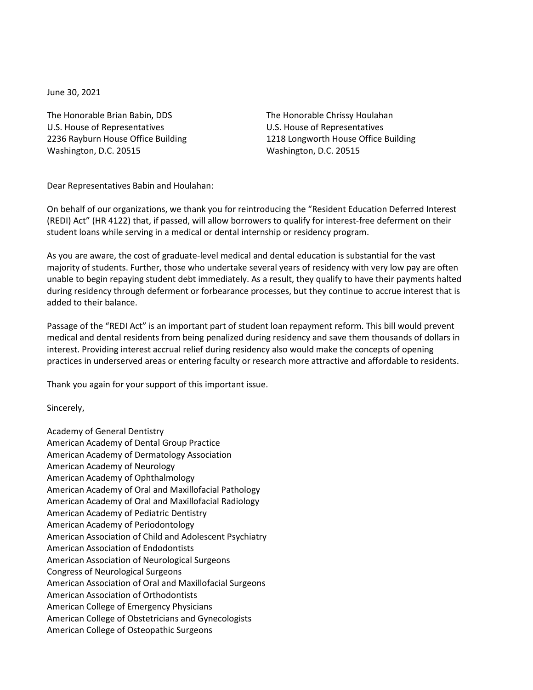June 30, 2021

The Honorable Brian Babin, DDS U.S. House of Representatives 2236 Rayburn House Office Building Washington, D.C. 20515

The Honorable Chrissy Houlahan U.S. House of Representatives 1218 Longworth House Office Building Washington, D.C. 20515

Dear Representatives Babin and Houlahan:

On behalf of our organizations, we thank you for reintroducing the "Resident Education Deferred Interest (REDI) Act" (HR 4122) that, if passed, will allow borrowers to qualify for interest-free deferment on their student loans while serving in a medical or dental internship or residency program.

As you are aware, the cost of graduate-level medical and dental education is substantial for the vast majority of students. Further, those who undertake several years of residency with very low pay are often unable to begin repaying student debt immediately. As a result, they qualify to have their payments halted during residency through deferment or forbearance processes, but they continue to accrue interest that is added to their balance.

Passage of the "REDI Act" is an important part of student loan repayment reform. This bill would prevent medical and dental residents from being penalized during residency and save them thousands of dollars in interest. Providing interest accrual relief during residency also would make the concepts of opening practices in underserved areas or entering faculty or research more attractive and affordable to residents.

Thank you again for your support of this important issue.

Sincerely,

Academy of General Dentistry American Academy of Dental Group Practice American Academy of Dermatology Association American Academy of Neurology American Academy of Ophthalmology American Academy of Oral and Maxillofacial Pathology American Academy of Oral and Maxillofacial Radiology American Academy of Pediatric Dentistry American Academy of Periodontology American Association of Child and Adolescent Psychiatry American Association of Endodontists American Association of Neurological Surgeons Congress of Neurological Surgeons American Association of Oral and Maxillofacial Surgeons American Association of Orthodontists American College of Emergency Physicians American College of Obstetricians and Gynecologists American College of Osteopathic Surgeons